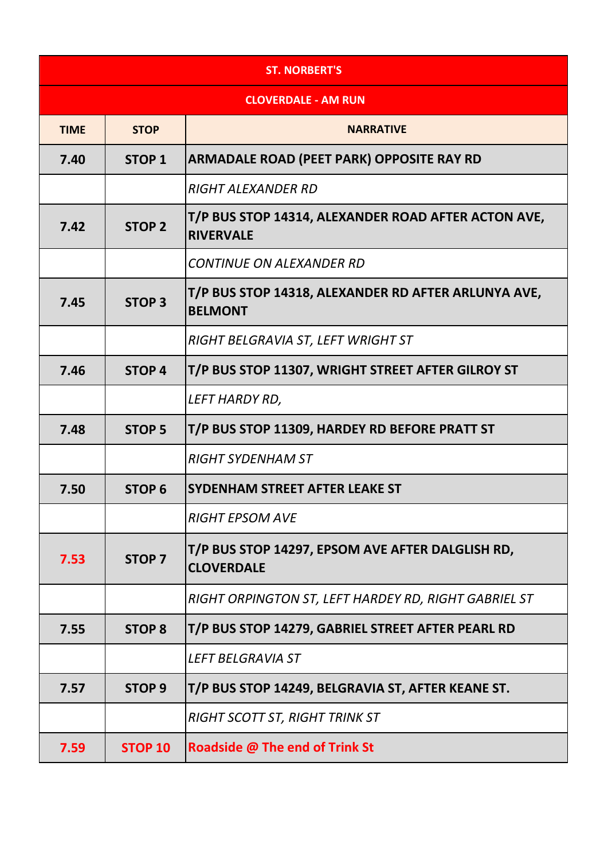| <b>ST. NORBERT'S</b>       |                   |                                                                         |
|----------------------------|-------------------|-------------------------------------------------------------------------|
| <b>CLOVERDALE - AM RUN</b> |                   |                                                                         |
| <b>TIME</b>                | <b>STOP</b>       | <b>NARRATIVE</b>                                                        |
| 7.40                       | <b>STOP 1</b>     | <b>ARMADALE ROAD (PEET PARK) OPPOSITE RAY RD</b>                        |
|                            |                   | <b>RIGHT ALEXANDER RD</b>                                               |
| 7.42                       | <b>STOP 2</b>     | T/P BUS STOP 14314, ALEXANDER ROAD AFTER ACTON AVE,<br><b>RIVERVALE</b> |
|                            |                   | <b>CONTINUE ON ALEXANDER RD</b>                                         |
| 7.45                       | <b>STOP 3</b>     | T/P BUS STOP 14318, ALEXANDER RD AFTER ARLUNYA AVE,<br><b>BELMONT</b>   |
|                            |                   | RIGHT BELGRAVIA ST, LEFT WRIGHT ST                                      |
| 7.46                       | <b>STOP 4</b>     | T/P BUS STOP 11307, WRIGHT STREET AFTER GILROY ST                       |
|                            |                   | LEFT HARDY RD,                                                          |
| 7.48                       | <b>STOP 5</b>     | T/P BUS STOP 11309, HARDEY RD BEFORE PRATT ST                           |
|                            |                   | <b>RIGHT SYDENHAM ST</b>                                                |
| 7.50                       | <b>STOP 6</b>     | <b>SYDENHAM STREET AFTER LEAKE ST</b>                                   |
|                            |                   | <b>RIGHT EPSOM AVE</b>                                                  |
| 7.53                       | <b>STOP 7</b>     | T/P BUS STOP 14297, EPSOM AVE AFTER DALGLISH RD,<br><b>CLOVERDALE</b>   |
|                            |                   | RIGHT ORPINGTON ST, LEFT HARDEY RD, RIGHT GABRIEL ST                    |
| 7.55                       | <b>STOP 8</b>     | T/P BUS STOP 14279, GABRIEL STREET AFTER PEARL RD                       |
|                            |                   | <b>LEFT BELGRAVIA ST</b>                                                |
| 7.57                       | STOP <sub>9</sub> | T/P BUS STOP 14249, BELGRAVIA ST, AFTER KEANE ST.                       |
|                            |                   | <b>RIGHT SCOTT ST, RIGHT TRINK ST</b>                                   |
| 7.59                       | <b>STOP 10</b>    | Roadside @ The end of Trink St                                          |